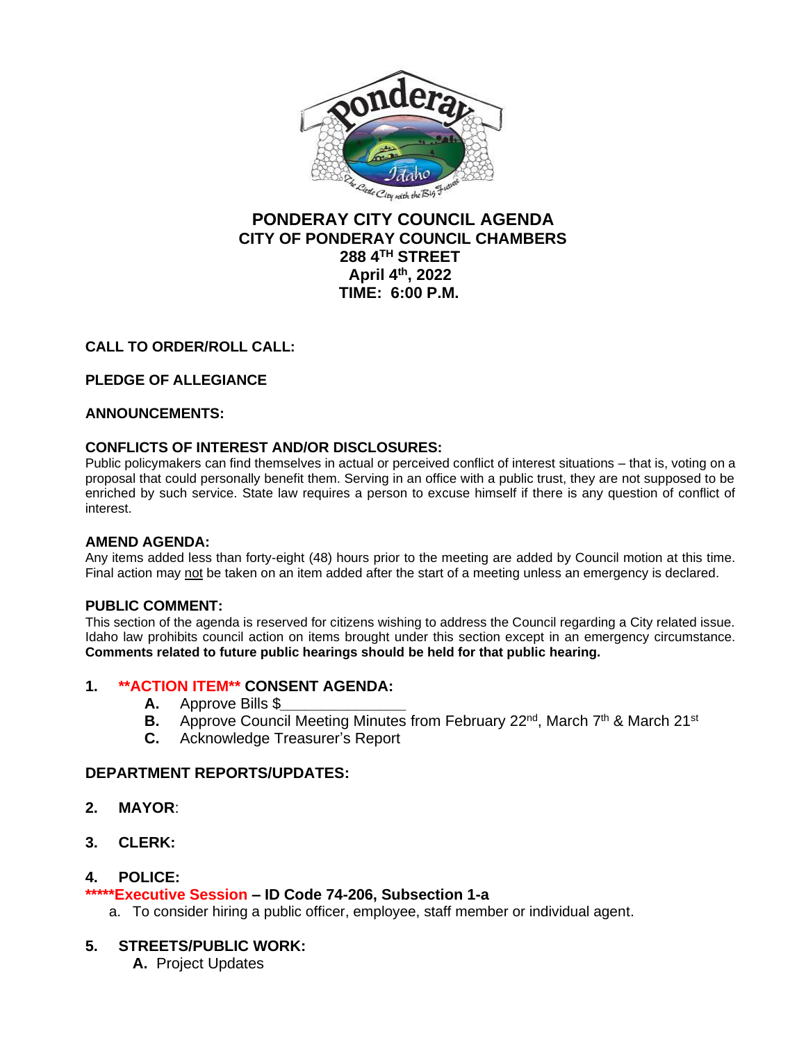

# **PONDERAY CITY COUNCIL AGENDA CITY OF PONDERAY COUNCIL CHAMBERS 288 4TH STREET April 4th, 2022 TIME: 6:00 P.M.**

## **CALL TO ORDER/ROLL CALL:**

## **PLEDGE OF ALLEGIANCE**

### **ANNOUNCEMENTS:**

### **CONFLICTS OF INTEREST AND/OR DISCLOSURES:**

Public policymakers can find themselves in actual or perceived conflict of interest situations – that is, voting on a proposal that could personally benefit them. Serving in an office with a public trust, they are not supposed to be enriched by such service. State law requires a person to excuse himself if there is any question of conflict of interest.

### **AMEND AGENDA:**

Any items added less than forty-eight (48) hours prior to the meeting are added by Council motion at this time. Final action may not be taken on an item added after the start of a meeting unless an emergency is declared.

### **PUBLIC COMMENT:**

This section of the agenda is reserved for citizens wishing to address the Council regarding a City related issue. Idaho law prohibits council action on items brought under this section except in an emergency circumstance. **Comments related to future public hearings should be held for that public hearing.**

### **1. \*\*ACTION ITEM\*\* CONSENT AGENDA:**

- **A.** Approve Bills \$*\_\_\_\_\_\_\_\_\_\_\_\_\_\_\_*
- **B.** Approve Council Meeting Minutes from February 22<sup>nd</sup>, March 7<sup>th</sup> & March 21<sup>st</sup>
- **C.** Acknowledge Treasurer's Report

### **DEPARTMENT REPORTS/UPDATES:**

- **2. MAYOR**:
- **3. CLERK:**

### **4. POLICE:**

### **\*\*\*\*\*Executive Session – ID Code 74-206, Subsection 1-a**

a. To consider hiring a public officer, employee, staff member or individual agent.

### **5. STREETS/PUBLIC WORK:**

**A.** Project Updates